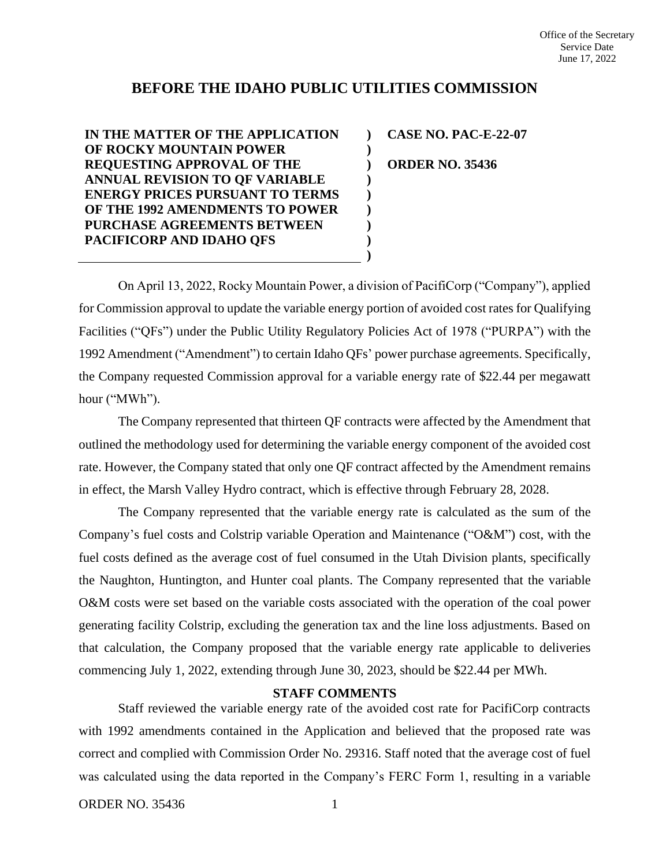## **BEFORE THE IDAHO PUBLIC UTILITIES COMMISSION**

**) ) ) ) ) ) ) ) )**

**IN THE MATTER OF THE APPLICATION OF ROCKY MOUNTAIN POWER REQUESTING APPROVAL OF THE ANNUAL REVISION TO QF VARIABLE ENERGY PRICES PURSUANT TO TERMS OF THE 1992 AMENDMENTS TO POWER PURCHASE AGREEMENTS BETWEEN PACIFICORP AND IDAHO QFS**

**CASE NO. PAC-E-22-07 ORDER NO. 35436**

On April 13, 2022, Rocky Mountain Power, a division of PacifiCorp ("Company"), applied for Commission approval to update the variable energy portion of avoided cost rates for Qualifying Facilities ("QFs") under the Public Utility Regulatory Policies Act of 1978 ("PURPA") with the 1992 Amendment ("Amendment") to certain Idaho QFs' power purchase agreements. Specifically, the Company requested Commission approval for a variable energy rate of \$22.44 per megawatt hour ("MWh").

The Company represented that thirteen QF contracts were affected by the Amendment that outlined the methodology used for determining the variable energy component of the avoided cost rate. However, the Company stated that only one QF contract affected by the Amendment remains in effect, the Marsh Valley Hydro contract, which is effective through February 28, 2028.

The Company represented that the variable energy rate is calculated as the sum of the Company's fuel costs and Colstrip variable Operation and Maintenance ("O&M") cost, with the fuel costs defined as the average cost of fuel consumed in the Utah Division plants, specifically the Naughton, Huntington, and Hunter coal plants. The Company represented that the variable O&M costs were set based on the variable costs associated with the operation of the coal power generating facility Colstrip, excluding the generation tax and the line loss adjustments. Based on that calculation, the Company proposed that the variable energy rate applicable to deliveries commencing July 1, 2022, extending through June 30, 2023, should be \$22.44 per MWh.

## **STAFF COMMENTS**

Staff reviewed the variable energy rate of the avoided cost rate for PacifiCorp contracts with 1992 amendments contained in the Application and believed that the proposed rate was correct and complied with Commission Order No. 29316. Staff noted that the average cost of fuel was calculated using the data reported in the Company's FERC Form 1, resulting in a variable

ORDER NO. 35436 1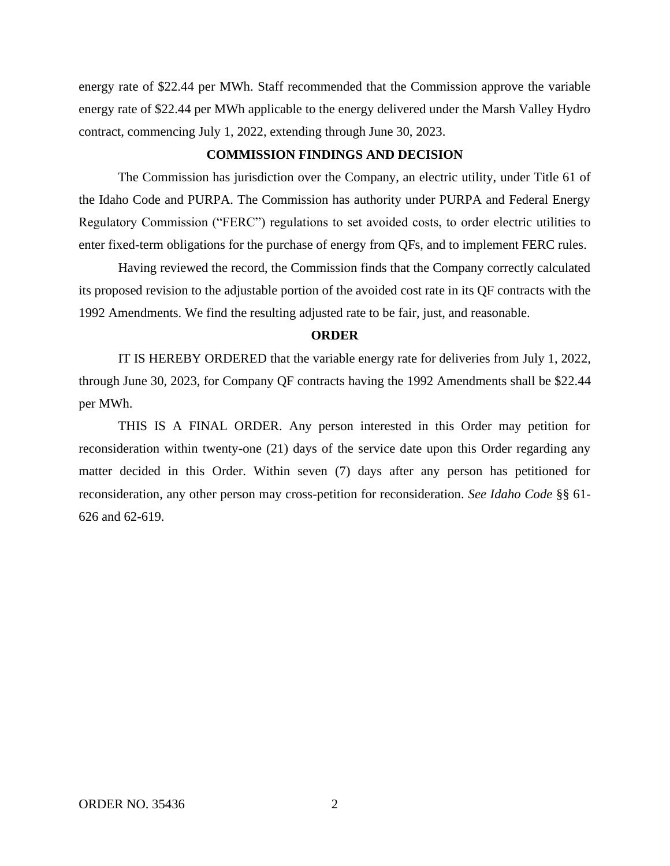energy rate of \$22.44 per MWh. Staff recommended that the Commission approve the variable energy rate of \$22.44 per MWh applicable to the energy delivered under the Marsh Valley Hydro contract, commencing July 1, 2022, extending through June 30, 2023.

## **COMMISSION FINDINGS AND DECISION**

The Commission has jurisdiction over the Company, an electric utility, under Title 61 of the Idaho Code and PURPA. The Commission has authority under PURPA and Federal Energy Regulatory Commission ("FERC") regulations to set avoided costs, to order electric utilities to enter fixed-term obligations for the purchase of energy from QFs, and to implement FERC rules.

Having reviewed the record, the Commission finds that the Company correctly calculated its proposed revision to the adjustable portion of the avoided cost rate in its QF contracts with the 1992 Amendments. We find the resulting adjusted rate to be fair, just, and reasonable.

## **ORDER**

IT IS HEREBY ORDERED that the variable energy rate for deliveries from July 1, 2022, through June 30, 2023, for Company QF contracts having the 1992 Amendments shall be \$22.44 per MWh.

THIS IS A FINAL ORDER. Any person interested in this Order may petition for reconsideration within twenty-one (21) days of the service date upon this Order regarding any matter decided in this Order. Within seven (7) days after any person has petitioned for reconsideration, any other person may cross-petition for reconsideration. *See Idaho Code* §§ 61- 626 and 62-619.